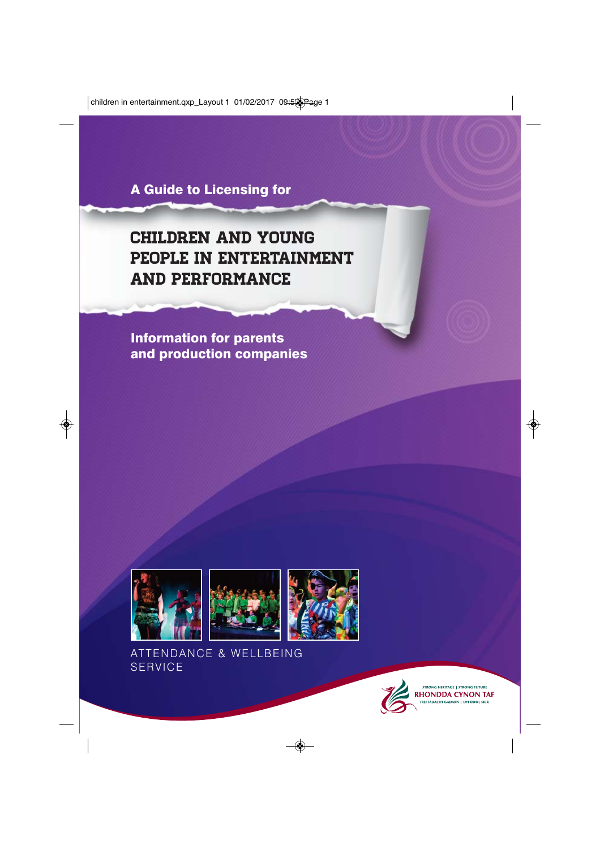**A Guide to Licensing for**

# children and young people in entertainment and performance

**Information for parents and production companies**







ATTENDANCE & WELLBEING SERVICE



STRONG HERITAGE | STRONG FUTURE **RHONDDA CYNON TAF TREFTADAETH GADARN | DYFODOL SICR**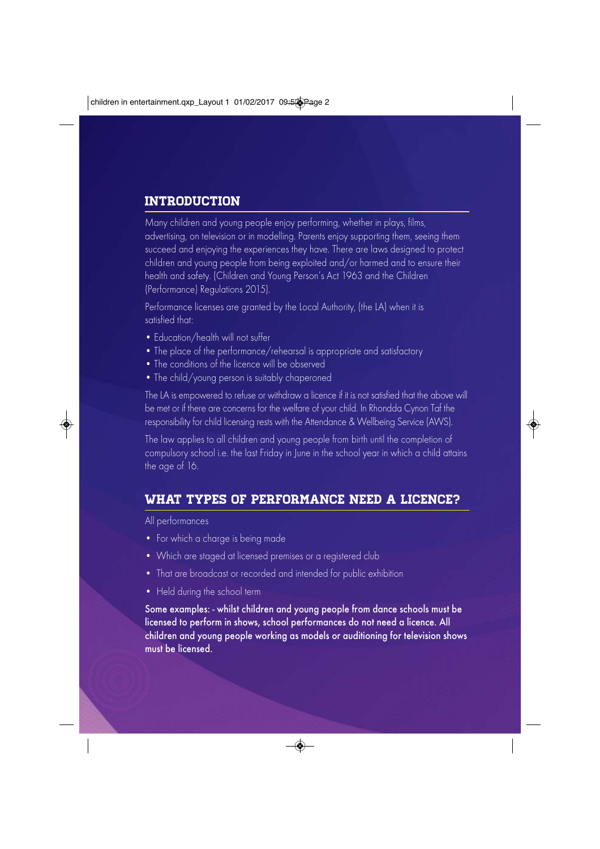## **INTRODUCTION**

Many children and young people enjoy performing, whether in plays, films, advertising, on television or in modelling. Parents enjoy supporting them, seeing them succeed and enjoying the experiences they have. There are laws designed to protect children and young people from being exploited and/or harmed and to ensure their health and safety. (Children and Young Person's Act 1963 and the Children (Performance) Regulations 2015).

Performance licenses are granted by the Local Authority, (the LA) when it is satisfied that:

- Education/health will not suffer
- The place of the performance/rehearsal is appropriate and satisfactory
- The conditions of the licence will be observed
- The child/young person is suitably chaperoned

The LA is empowered to refuse or withdraw a licence if it is not satisfied that the above will be met or if there are concerns for the welfare of your child. In Rhondda Cynon Taf the responsibility for child licensing rests with the Attendance & Wellbeing Service (AWS).

The law applies to all children and young people from birth until the completion of compulsory school i.e. the last Friday in June in the school year in which a child attains the age of 16.

#### What types of performance need a licence?

All performances

- For which a charge is being made
- Which are staged at licensed premises or a registered club
- That are broadcast or recorded and intended for public exhibition
- Held during the school term

Some examples: - whilst children and young people from dance schools must be licensed to perform in shows, school performances do not need a licence. All children and young people working as models or auditioning for television shows must be licensed.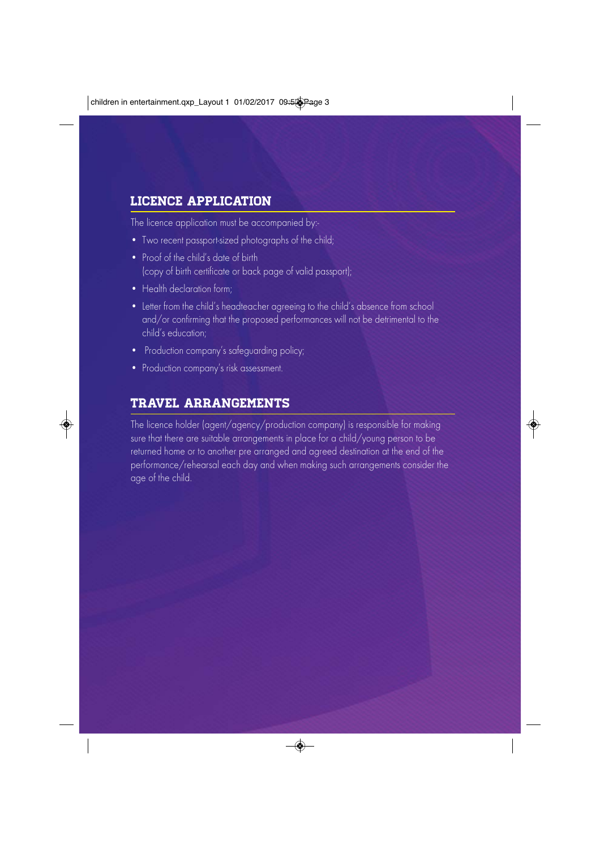# LICENCE APPLICATION

The licence application must be accompanied by:-

- Two recent passport-sized photographs of the child;
- Proof of the child's date of birth (copy of birth certificate or back page of valid passport);
- Health declaration form:
- Letter from the child's headteacher agreeing to the child's absence from school and/or confirming that the proposed performances will not be detrimental to the child's education;
- Production company's safeguarding policy;
- Production company's risk assessment.

# Travel arrangements

The licence holder (agent/agency/production company) is responsible for making sure that there are suitable arrangements in place for a child/young person to be returned home or to another pre arranged and agreed destination at the end of the performance/rehearsal each day and when making such arrangements consider the age of the child.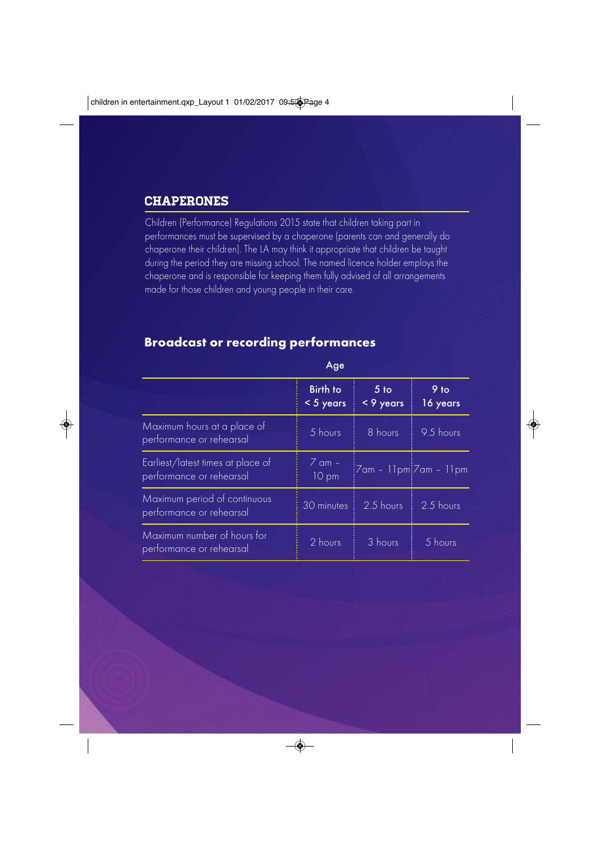#### **CHAPERONES**

Children (Performance) Regulations 2015 state that children taking part in performances must be supervised by a chaperone (parents can and generally do chaperone their children). The LA may think it appropriate that children be taught during the period they are missing school. The named licence holder employs the chaperone and is responsible for keeping them fully advised of all arrangements made for those children and young people in their care.

#### **Broadcast or recording performances**

|                                                               | $\sim$                         |                              |                  |
|---------------------------------------------------------------|--------------------------------|------------------------------|------------------|
|                                                               | <b>Birth to</b><br>< 5 years   | 5 <sub>to</sub><br>< 9 years | 9 to<br>16 years |
| Maximum hours at a place of<br>performance or rehearsal       | 5 hours                        | 8 hours                      | 9.5 hours        |
| Earliest/latest times at place of<br>performance or rehearsal | $\overline{Z}$ am $-$<br>10 pm | $7$ am - 11pm $7$ am - 11pm  |                  |
| Maximum period of continuous<br>performance or rehearsal      | 30 minutes                     | 2.5 hours                    | 2.5 hours        |
| Maximum number of hours for<br>performance or rehearsal       | 2 hours                        | 3 hours                      | 5 hours          |

Age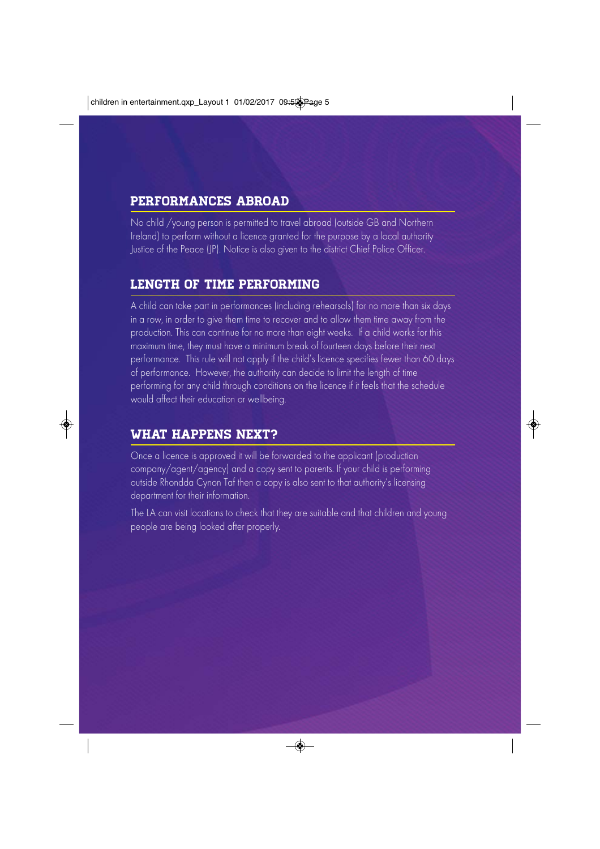## Performances abroad

No child /young person is permitted to travel abroad (outside GB and Northern Ireland) to perform without a licence granted for the purpose by a local authority Justice of the Peace (JP). Notice is also given to the district Chief Police Officer.

#### LENGTH OF TIME PERFORMING

A child can take part in performances (including rehearsals) for no more than six days in a row, in order to give them time to recover and to allow them time away from the production. This can continue for no more than eight weeks. If a child works for this maximum time, they must have a minimum break of fourteen days before their next performance. This rule will not apply if the child's licence specifies fewer than 60 days of performance. However, the authority can decide to limit the length of time performing for any child through conditions on the licence if it feels that the schedule would affect their education or wellbeing.

#### What happens next?

Once a licence is approved it will be forwarded to the applicant (production company/agent/agency) and a copy sent to parents. If your child is performing outside Rhondda Cynon Taf then a copy is also sent to that authority's licensing department for their information.

The LA can visit locations to check that they are suitable and that children and young people are being looked after properly.